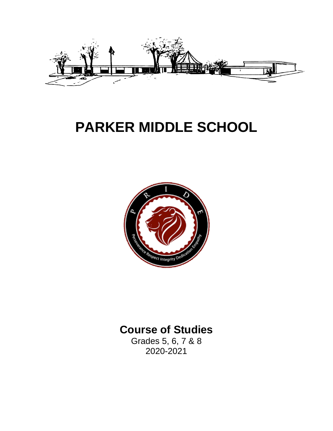

# **PARKER MIDDLE SCHOOL**



## **Course of Studies**

Grades 5, 6, 7 & 8 2020-2021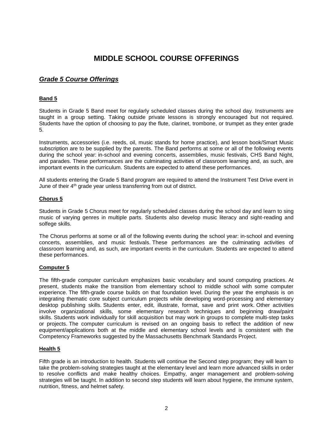### **MIDDLE SCHOOL COURSE OFFERINGS**

### *Grade 5 Course Offerings*

### **Band 5**

Students in Grade 5 Band meet for regularly scheduled classes during the school day. Instruments are taught in a group setting. Taking outside private lessons is strongly encouraged but not required. Students have the option of choosing to pay the flute, clarinet, trombone, or trumpet as they enter grade 5.

Instruments, accessories (i.e. reeds, oil, music stands for home practice), and lesson book/Smart Music subscription are to be supplied by the parents. The Band performs at some or all of the following events during the school year: in-school and evening concerts, assemblies, music festivals, CHS Band Night, and parades. These performances are the culminating activities of classroom learning and, as such, are important events in the curriculum. Students are expected to attend these performances.

All students entering the Grade 5 Band program are required to attend the Instrument Test Drive event in June of their 4<sup>th</sup> grade year unless transferring from out of district.

### **Chorus 5**

Students in Grade 5 Chorus meet for regularly scheduled classes during the school day and learn to sing music of varying genres in multiple parts. Students also develop music literacy and sight-reading and solfege skills.

The Chorus performs at some or all of the following events during the school year: in-school and evening concerts, assemblies, and music festivals. These performances are the culminating activities of classroom learning and, as such, are important events in the curriculum. Students are expected to attend these performances.

### **Computer 5**

The fifth-grade computer curriculum emphasizes basic vocabulary and sound computing practices. At present, students make the transition from elementary school to middle school with some computer experience. The fifth-grade course builds on that foundation level. During the year the emphasis is on integrating thematic core subject curriculum projects while developing word-processing and elementary desktop publishing skills. Students enter, edit, illustrate, format, save and print work. Other activities involve organizational skills, some elementary research techniques and beginning draw/paint skills. Students work individually for skill acquisition but may work in groups to complete multi-step tasks or projects. The computer curriculum is revised on an ongoing basis to reflect the addition of new equipment/applications both at the middle and elementary school levels and is consistent with the Competency Frameworks suggested by the Massachusetts Benchmark Standards Project.

### **Health 5**

Fifth grade is an introduction to health. Students will continue the Second step program; they will learn to take the problem-solving strategies taught at the elementary level and learn more advanced skills in order to resolve conflicts and make healthy choices. Empathy, anger management and problem-solving strategies will be taught. In addition to second step students will learn about hygiene, the immune system, nutrition, fitness, and helmet safety.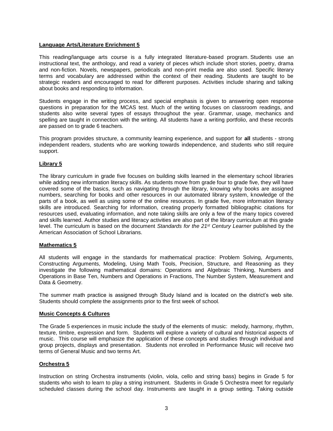### **Language Arts/Literature Enrichment 5**

This reading/language arts course is a fully integrated literature-based program. Students use an instructional text, the anthology, and read a variety of pieces which include short stories, poetry, drama and non-fiction. Novels, newspapers, periodicals and non-print media are also used. Specific literary terms and vocabulary are addressed within the context of their reading. Students are taught to be strategic readers and encouraged to read for different purposes. Activities include sharing and talking about books and responding to information.

Students engage in the writing process, and special emphasis is given to answering open response questions in preparation for the MCAS test. Much of the writing focuses on classroom readings, and students also write several types of essays throughout the year. Grammar, usage, mechanics and spelling are taught in connection with the writing. All students have a writing portfolio, and these records are passed on to grade 6 teachers.

This program provides structure, a community learning experience, and support for **all** students - strong independent readers, students who are working towards independence, and students who still require support.

### **Library 5**

The library curriculum in grade five focuses on building skills learned in the elementary school libraries while adding new information literacy skills. As students move from grade four to grade five, they will have covered some of the basics, such as navigating through the library, knowing why books are assigned numbers, searching for books and other resources in our automated library system, knowledge of the parts of a book, as well as using some of the online resources. In grade five, more information literacy skills are introduced. Searching for information, creating properly formatted bibliographic citations for resources used, evaluating information, and note taking skills are only a few of the many topics covered and skills learned. Author studies and literacy activities are also part of the library curriculum at this grade level. The curriculum is based on the document *Standards for the 21st Century Learner* published by the American Association of School Librarians.

### **Mathematics 5**

All students will engage in the standards for mathematical practice: Problem Solving, Arguments, Constructing Arguments, Modeling, Using Math Tools, Precision, Structure, and Reasoning as they investigate the following mathematical domains: Operations and Algebraic Thinking, Numbers and Operations in Base Ten, Numbers and Operations in Fractions, The Number System, Measurement and Data & Geometry.

The summer math practice is assigned through Study Island and is located on the district's web site. Students should complete the assignments prior to the first week of school.

### **Music Concepts & Cultures**

The Grade 5 experiences in music include the study of the elements of music: melody, harmony, rhythm, texture, timbre, expression and form. Students will explore a variety of cultural and historical aspects of music. This course will emphasize the application of these concepts and studies through individual and group projects, displays and presentation. Students not enrolled in Performance Music will receive two terms of General Music and two terms Art.

### **Orchestra 5**

Instruction on string Orchestra instruments (violin, viola, cello and string bass) begins in Grade 5 for students who wish to learn to play a string instrument. Students in Grade 5 Orchestra meet for regularly scheduled classes during the school day. Instruments are taught in a group setting. Taking outside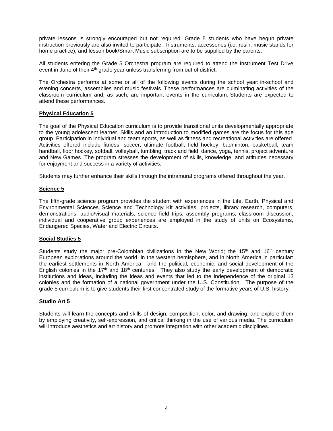private lessons is strongly encouraged but not required. Grade 5 students who have begun private instruction previously are also invited to participate. Instruments, accessories (i.e. rosin, music stands for home practice), and lesson book/Smart Music subscription are to be supplied by the parents.

All students entering the Grade 5 Orchestra program are required to attend the Instrument Test Drive event in June of their 4<sup>th</sup> grade year unless transferring from out of district.

The Orchestra performs at some or all of the following events during the school year: in-school and evening concerts, assemblies and music festivals. These performances are culminating activities of the classroom curriculum and, as such, are important events in the curriculum. Students are expected to attend these performances.

### **Physical Education 5**

The goal of the Physical Education curriculum is to provide transitional units developmentally appropriate to the young adolescent learner. Skills and an introduction to modified games are the focus for this age group. Participation in individual and team sports, as well as fitness and recreational activities are offered. Activities offered include fitness, soccer, ultimate football, field hockey, badminton, basketball, team handball, floor hockey, softball, volleyball, tumbling, track and field, dance, yoga, tennis, project adventure and New Games. The program stresses the development of skills, knowledge, and attitudes necessary for enjoyment and success in a variety of activities.

Students may further enhance their skills through the intramural programs offered throughout the year.

### **Science 5**

The fifth-grade science program provides the student with experiences in the Life, Earth, Physical and Environmental Sciences. Science and Technology Kit activities, projects, library research, computers, demonstrations, audio/visual materials, science field trips, assembly programs, classroom discussion, individual and cooperative group experiences are employed in the study of units on Ecosystems, Endangered Species, Water and Electric Circuits.

### **Social Studies 5**

Students study the major pre-Colombian civilizations in the New World; the 15<sup>th</sup> and 16<sup>th</sup> century European explorations around the world, in the western hemisphere, and in North America in particular: the earliest settlements in North America: and the political, economic, and social development of the English colonies in the 17<sup>th</sup> and 18<sup>th</sup> centuries. They also study the early development of democratic institutions and ideas, including the ideas and events that led to the independence of the original 13 colonies and the formation of a national government under the U.S. Constitution. The purpose of the grade 5 curriculum is to give students their first concentrated study of the formative years of U.S. history.

### **Studio Art 5**

Students will learn the concepts and skills of design, composition, color, and drawing, and explore them by employing creativity, self-expression, and critical thinking in the use of various media. The curriculum will introduce aesthetics and art history and promote integration with other academic disciplines.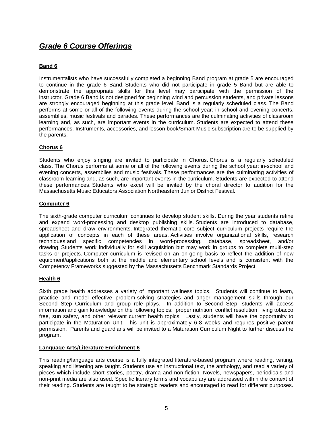### *Grade 6 Course Offerings*

### **Band 6**

Instrumentalists who have successfully completed a beginning Band program at grade 5 are encouraged to continue in the grade 6 Band. Students who did not participate in grade 5 Band but are able to demonstrate the appropriate skills for this level may participate with the permission of the instructor. Grade 6 Band is not designed for beginning wind and percussion students, and private lessons are strongly encouraged beginning at this grade level. Band is a regularly scheduled class. The Band performs at some or all of the following events during the school year: in-school and evening concerts, assemblies, music festivals and parades. These performances are the culminating activities of classroom learning and, as such, are important events in the curriculum. Students are expected to attend these performances. Instruments, accessories, and lesson book/Smart Music subscription are to be supplied by the parents.

### **Chorus 6**

Students who enjoy singing are invited to participate in Chorus. Chorus is a regularly scheduled class. The Chorus performs at some or all of the following events during the school year: in-school and evening concerts, assemblies and music festivals. These performances are the culminating activities of classroom learning and, as such, are important events in the curriculum. Students are expected to attend these performances. Students who excel will be invited by the choral director to audition for the Massachusetts Music Educators Association Northeastern Junior District Festival.

### **Computer 6**

The sixth-grade computer curriculum continues to develop student skills. During the year students refine and expand word-processing and desktop publishing skills. Students are introduced to database, spreadsheet and draw environments. Integrated thematic core subject curriculum projects require the application of concepts in each of these areas. Activities involve organizational skills, research techniques and specific competencies in word-processing, database, spreadsheet, and/or drawing. Students work individually for skill acquisition but may work in groups to complete multi-step tasks or projects. Computer curriculum is revised on an on-going basis to reflect the addition of new equipment/applications both at the middle and elementary school levels and is consistent with the Competency Frameworks suggested by the Massachusetts Benchmark Standards Project.

### **Health 6**

Sixth grade health addresses a variety of important wellness topics. Students will continue to learn, practice and model effective problem-solving strategies and anger management skills through our Second Step Curriculum and group role plays. In addition to Second Step, students will access information and gain knowledge on the following topics: proper nutrition, conflict resolution, living tobacco free, sun safety, and other relevant current health topics. Lastly, students will have the opportunity to participate in the Maturation Unit. This unit is approximately 6-8 weeks and requires positive parent permission. Parents and guardians will be invited to a Maturation Curriculum Night to further discuss the program.

### **Language Arts/Literature Enrichment 6**

This reading/language arts course is a fully integrated literature-based program where reading, writing, speaking and listening are taught. Students use an instructional text, the anthology, and read a variety of pieces which include short stories, poetry, drama and non-fiction. Novels, newspapers, periodicals and non-print media are also used. Specific literary terms and vocabulary are addressed within the context of their reading. Students are taught to be strategic readers and encouraged to read for different purposes.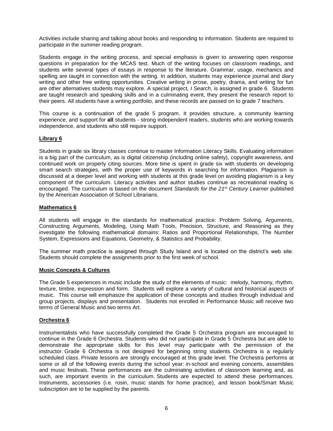Activities include sharing and talking about books and responding to information. Students are required to participate in the summer reading program.

Students engage in the writing process, and special emphasis is given to answering open response questions in preparation for the MCAS test. Much of the writing focuses on classroom readings, and students write several types of essays in response to the literature. Grammar, usage, mechanics and spelling are taught in connection with the writing. In addition, students may experience journal and diary writing and other free writing opportunities. Creative writing in prose, poetry, drama, and writing for fun are other alternatives students may explore. A special project*, I Search*, is assigned in grade 6. Students are taught research and speaking skills and in a culminating event, they present the research report to their peers. All students have a writing portfolio, and these records are passed on to grade 7 teachers.

This course is a continuation of the grade 5 program. It provides structure, a community learning experience, and support for **all** students - strong independent readers, students who are working towards independence, and students who still require support.

### **Library 6**

Students in grade six library classes continue to master Information Literacy Skills. Evaluating information is a big part of the curriculum, as is digital citizenship (including online safety), copyright awareness, and continued work on properly citing sources. More time is spent in grade six with students on developing smart search strategies, with the proper use of keywords in searching for information. Plagiarism is discussed at a deeper level and working with students at this grade level on avoiding plagiarism is a key component of the curriculum. Literacy activities and author studies continue as recreational reading is encouraged. The curriculum is based on the document *Standards for the 21st Century Learner* published by the American Association of School Librarians.

### **Mathematics 6**

All students will engage in the standards for mathematical practice: Problem Solving, Arguments, Constructing Arguments, Modeling, Using Math Tools, Precision, Structure, and Reasoning as they investigate the following mathematical domains: Ratios and Proportional Relationships, The Number System, Expressions and Equations, Geometry, & Statistics and Probability.

The summer math practice is assigned through Study Island and is located on the district's web site. Students should complete the assignments prior to the first week of school.

### **Music Concepts & Cultures**

The Grade 5 experiences in music include the study of the elements of music: melody, harmony, rhythm, texture, timbre, expression and form. Students will explore a variety of cultural and historical aspects of music. This course will emphasize the application of these concepts and studies through individual and group projects, displays and presentation. Students not enrolled in Performance Music will receive two terms of General Music and two terms Art.

### **Orchestra 6**

Instrumentalists who have successfully completed the Grade 5 Orchestra program are encouraged to continue in the Grade 6 Orchestra. Students who did not participate in Grade 5 Orchestra but are able to demonstrate the appropriate skills for this level may participate with the permission of the instructor. Grade 6 Orchestra is not designed for beginning string students. Orchestra is a regularly scheduled class. Private lessons are strongly encouraged at this grade level. The Orchestra performs at some or all of the following events during the school year: in-school and evening concerts, assemblies and music festivals. These performances are the culminating activities of classroom learning and, as such, are important events in the curriculum. Students are expected to attend these performances. Instruments, accessories (i.e. rosin, music stands for home practice), and lesson book/Smart Music subscription are to be supplied by the parents.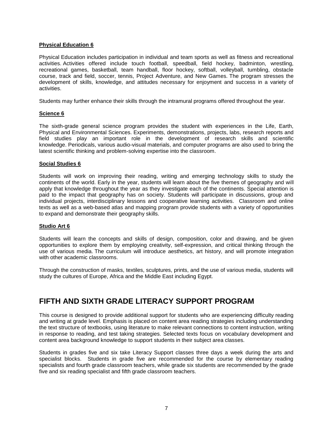### **Physical Education 6**

Physical Education includes participation in individual and team sports as well as fitness and recreational activities. Activities offered include touch football, speedball, field hockey, badminton, wrestling, recreational games, basketball, team handball, floor hockey, softball, volleyball, tumbling, obstacle course, track and field, soccer, tennis, Project Adventure, and New Games. The program stresses the development of skills, knowledge, and attitudes necessary for enjoyment and success in a variety of activities.

Students may further enhance their skills through the intramural programs offered throughout the year.

### **Science 6**

The sixth-grade general science program provides the student with experiences in the Life, Earth, Physical and Environmental Sciences. Experiments, demonstrations, projects, labs, research reports and field studies play an important role in the development of research skills and scientific knowledge. Periodicals, various audio-visual materials, and computer programs are also used to bring the latest scientific thinking and problem-solving expertise into the classroom.

### **Social Studies 6**

Students will work on improving their reading, writing and emerging technology skills to study the continents of the world. Early in the year, students will learn about the five themes of geography and will apply that knowledge throughout the year as they investigate each of the continents. Special attention is paid to the impact that geography has on society. Students will participate in discussions, group and individual projects, interdisciplinary lessons and cooperative learning activities. Classroom and online texts as well as a web-based atlas and mapping program provide students with a variety of opportunities to expand and demonstrate their geography skills.

### **Studio Art 6**

Students will learn the concepts and skills of design, composition, color and drawing, and be given opportunities to explore them by employing creativity, self-expression, and critical thinking through the use of various media. The curriculum will introduce aesthetics, art history, and will promote integration with other academic classrooms.

Through the construction of masks, textiles, sculptures, prints, and the use of various media, students will study the cultures of Europe, Africa and the Middle East including Egypt.

### **FIFTH AND SIXTH GRADE LITERACY SUPPORT PROGRAM**

This course is designed to provide additional support for students who are experiencing difficulty reading and writing at grade level. Emphasis is placed on content area reading strategies including understanding the text structure of textbooks, using literature to make relevant connections to content instruction, writing in response to reading, and test taking strategies. Selected texts focus on vocabulary development and content area background knowledge to support students in their subject area classes.

Students in grades five and six take Literacy Support classes three days a week during the arts and specialist blocks. Students in grade five are recommended for the course by elementary reading specialists and fourth grade classroom teachers, while grade six students are recommended by the grade five and six reading specialist and fifth grade classroom teachers.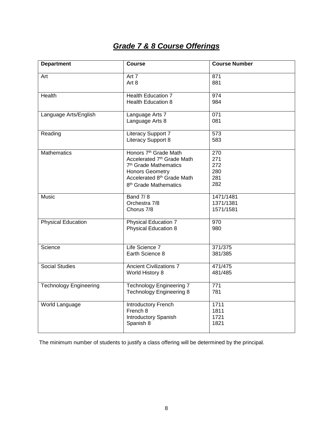### *Grade 7 & 8 Course Offerings*

| <b>Department</b>             | <b>Course</b>                                                                                                                                                                                     | <b>Course Number</b>                   |
|-------------------------------|---------------------------------------------------------------------------------------------------------------------------------------------------------------------------------------------------|----------------------------------------|
| Art                           | Art 7<br>Art 8                                                                                                                                                                                    | 871<br>881                             |
| Health                        | <b>Health Education 7</b><br><b>Health Education 8</b>                                                                                                                                            | 974<br>984                             |
| Language Arts/English         | Language Arts 7<br>Language Arts 8                                                                                                                                                                | 071<br>081                             |
| Reading                       | Literacy Support 7<br>Literacy Support 8                                                                                                                                                          | $\overline{573}$<br>583                |
| <b>Mathematics</b>            | Honors 7 <sup>th</sup> Grade Math<br>Accelerated 7th Grade Math<br>7 <sup>th</sup> Grade Mathematics<br><b>Honors Geometry</b><br>Accelerated 8th Grade Math<br>8 <sup>th</sup> Grade Mathematics | 270<br>271<br>272<br>280<br>281<br>282 |
| Music                         | <b>Band 7/8</b><br>Orchestra 7/8<br>Chorus 7/8                                                                                                                                                    | 1471/1481<br>1371/1381<br>1571/1581    |
| Physical Education            | <b>Physical Education 7</b><br><b>Physical Education 8</b>                                                                                                                                        | 970<br>980                             |
| Science                       | Life Science 7<br>Earth Science 8                                                                                                                                                                 | 371/375<br>381/385                     |
| <b>Social Studies</b>         | <b>Ancient Civilizations 7</b><br>World History 8                                                                                                                                                 | 471/475<br>481/485                     |
| <b>Technology Engineering</b> | <b>Technology Engineering 7</b><br><b>Technology Engineering 8</b>                                                                                                                                | 771<br>781                             |
| World Language                | Introductory French<br>French 8<br><b>Introductory Spanish</b><br>Spanish 8                                                                                                                       | 1711<br>1811<br>1721<br>1821           |

The minimum number of students to justify a class offering will be determined by the principal.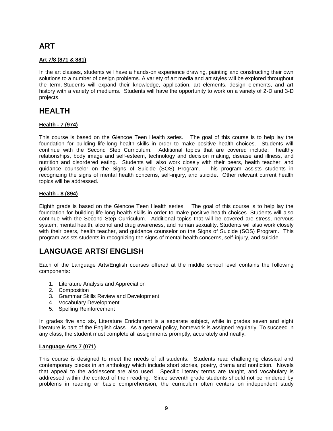### **ART**

### **Art 7/8 (871 & 881)**

In the art classes, students will have a hands-on experience drawing, painting and constructing their own solutions to a number of design problems. A variety of art media and art styles will be explored throughout the term. Students will expand their knowledge, application, art elements, design elements, and art history with a variety of mediums. Students will have the opportunity to work on a variety of 2-D and 3-D projects.

### **HEALTH**

### **Health - 7 (974)**

This course is based on the Glencoe Teen Health series. The goal of this course is to help lay the foundation for building life-long health skills in order to make positive health choices. Students will continue with the Second Step Curriculum. Additional topics that are covered include: healthy relationships, body image and self-esteem, technology and decision making, disease and illness, and nutrition and disordered eating. Students will also work closely with their peers, health teacher, and guidance counselor on the Signs of Suicide (SOS) Program. This program assists students in recognizing the signs of mental health concerns, self-injury, and suicide. Other relevant current health topics will be addressed.

### **Health - 8 (894)**

Eighth grade is based on the Glencoe Teen Health series. The goal of this course is to help lay the foundation for building life-long health skills in order to make positive health choices. Students will also continue with the Second Step Curriculum. Additional topics that will be covered are stress, nervous system, mental health, alcohol and drug awareness, and human sexuality. Students will also work closely with their peers, health teacher, and guidance counselor on the Signs of Suicide (SOS) Program. This program assists students in recognizing the signs of mental health concerns, self-injury, and suicide.

### **LANGUAGE ARTS/ ENGLISH**

Each of the Language Arts/English courses offered at the middle school level contains the following components:

- 1. Literature Analysis and Appreciation
- 2. Composition
- 3. Grammar Skills Review and Development
- 4. Vocabulary Development
- 5. Spelling Reinforcement

In grades five and six, Literature Enrichment is a separate subject, while in grades seven and eight literature is part of the English class. As a general policy, homework is assigned regularly. To succeed in any class, the student must complete all assignments promptly, accurately and neatly.

### **Language Arts 7 (071)**

This course is designed to meet the needs of all students. Students read challenging classical and contemporary pieces in an anthology which include short stories, poetry, drama and nonfiction. Novels that appeal to the adolescent are also used. Specific literary terms are taught, and vocabulary is addressed within the context of their reading. Since seventh grade students should not be hindered by problems in reading or basic comprehension, the curriculum often centers on independent study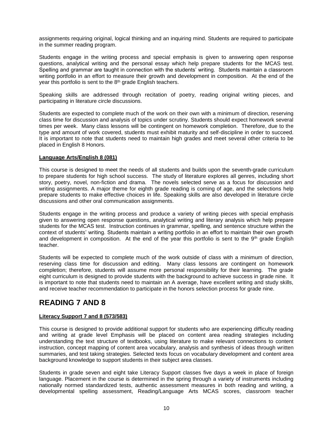assignments requiring original, logical thinking and an inquiring mind. Students are required to participate in the summer reading program.

Students engage in the writing process and special emphasis is given to answering open response questions, analytical writing and the personal essay which help prepare students for the MCAS test. Spelling and grammar are taught in connection with the students' writing. Students maintain a classroom writing portfolio in an effort to measure their growth and development in composition. At the end of the year this portfolio is sent to the 8<sup>th</sup> grade English teachers.

Speaking skills are addressed through recitation of poetry, reading original writing pieces, and participating in literature circle discussions.

Students are expected to complete much of the work on their own with a minimum of direction, reserving class time for discussion and analysis of topics under scrutiny. Students should expect homework several times per week. Many class lessons will be contingent on homework completion. Therefore, due to the type and amount of work covered, students must exhibit maturity and self-discipline in order to succeed. It is important to note that students need to maintain high grades and meet several other criteria to be placed in English 8 Honors.

### **Language Arts/English 8 (081)**

This course is designed to meet the needs of all students and builds upon the seventh-grade curriculum to prepare students for high school success. The study of literature explores all genres, including short story, poetry, novel, non-fiction and drama. The novels selected serve as a focus for discussion and writing assignments. A major theme for eighth grade reading is coming of age, and the selections help prepare students to make effective choices in life. Speaking skills are also developed in literature circle discussions and other oral communication assignments.

Students engage in the writing process and produce a variety of writing pieces with special emphasis given to answering open response questions, analytical writing and literary analysis which help prepare students for the MCAS test. Instruction continues in grammar, spelling, and sentence structure within the context of students' writing. Students maintain a writing portfolio in an effort to maintain their own growth and development in composition. At the end of the year this portfolio is sent to the  $9<sup>th</sup>$  grade English teacher.

Students will be expected to complete much of the work outside of class with a minimum of direction, reserving class time for discussion and editing. Many class lessons are contingent on homework completion; therefore, students will assume more personal responsibility for their learning. The grade eight curriculum is designed to provide students with the background to achieve success in grade nine. It is important to note that students need to maintain an A average, have excellent writing and study skills, and receive teacher recommendation to participate in the honors selection process for grade nine.

### **READING 7 AND 8**

### **Literacy Support 7 and 8 (573/583)**

This course is designed to provide additional support for students who are experiencing difficulty reading and writing at grade level Emphasis will be placed on content area reading strategies including understanding the text structure of textbooks, using literature to make relevant connections to content instruction, concept mapping of content area vocabulary, analysis and synthesis of ideas through written summaries, and test taking strategies. Selected texts focus on vocabulary development and content area background knowledge to support students in their subject area classes.

Students in grade seven and eight take Literacy Support classes five days a week in place of foreign language. Placement in the course is determined in the spring through a variety of instruments including nationally normed standardized tests, authentic assessment measures in both reading and writing, a developmental spelling assessment, Reading/Language Arts MCAS scores, classroom teacher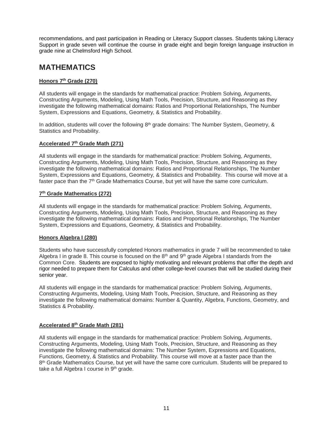recommendations, and past participation in Reading or Literacy Support classes. Students taking Literacy Support in grade seven will continue the course in grade eight and begin foreign language instruction in grade nine at Chelmsford High School.

### **MATHEMATICS**

### **Honors 7th Grade (270)**

All students will engage in the standards for mathematical practice: Problem Solving, Arguments, Constructing Arguments, Modeling, Using Math Tools, Precision, Structure, and Reasoning as they investigate the following mathematical domains: Ratios and Proportional Relationships, The Number System, Expressions and Equations, Geometry, & Statistics and Probability.

In addition, students will cover the following  $8<sup>th</sup>$  grade domains: The Number System, Geometry,  $\&$ Statistics and Probability.

### **Accelerated 7th Grade Math (271)**

All students will engage in the standards for mathematical practice: Problem Solving, Arguments, Constructing Arguments, Modeling, Using Math Tools, Precision, Structure, and Reasoning as they investigate the following mathematical domains: Ratios and Proportional Relationships, The Number System, Expressions and Equations, Geometry, & Statistics and Probability. This course will move at a faster pace than the  $7<sup>th</sup>$  Grade Mathematics Course, but yet will have the same core curriculum.

### **7 th Grade Mathematics (272)**

All students will engage in the standards for mathematical practice: Problem Solving, Arguments, Constructing Arguments, Modeling, Using Math Tools, Precision, Structure, and Reasoning as they investigate the following mathematical domains: Ratios and Proportional Relationships, The Number System, Expressions and Equations, Geometry, & Statistics and Probability.

### **Honors Algebra I (280)**

Students who have successfully completed Honors mathematics in grade 7 will be recommended to take Algebra I in grade 8. This course is focused on the  $8<sup>th</sup>$  and  $9<sup>th</sup>$  grade Algebra I standards from the Common Core. Students are exposed to highly motivating and relevant problems that offer the depth and rigor needed to prepare them for Calculus and other college-level courses that will be studied during their senior year.

All students will engage in the standards for mathematical practice: Problem Solving, Arguments, Constructing Arguments, Modeling, Using Math Tools, Precision, Structure, and Reasoning as they investigate the following mathematical domains: Number & Quantity, Algebra, Functions, Geometry, and Statistics & Probability.

### **Accelerated 8 th Grade Math (281)**

All students will engage in the standards for mathematical practice: Problem Solving, Arguments, Constructing Arguments, Modeling, Using Math Tools, Precision, Structure, and Reasoning as they investigate the following mathematical domains: The Number System, Expressions and Equations, Functions, Geometry, & Statistics and Probability. This course will move at a faster pace than the 8<sup>th</sup> Grade Mathematics Course, but yet will have the same core curriculum. Students will be prepared to take a full Algebra I course in 9<sup>th</sup> grade.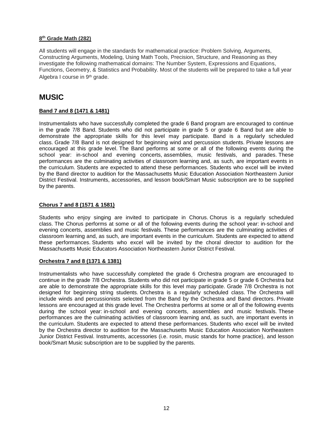### **8 th Grade Math (282)**

All students will engage in the standards for mathematical practice: Problem Solving, Arguments, Constructing Arguments, Modeling, Using Math Tools, Precision, Structure, and Reasoning as they investigate the following mathematical domains: The Number System, Expressions and Equations, Functions, Geometry, & Statistics and Probability. Most of the students will be prepared to take a full year Algebra I course in 9th grade.

### **MUSIC**

### **Band 7 and 8 (1471 & 1481)**

Instrumentalists who have successfully completed the grade 6 Band program are encouraged to continue in the grade 7/8 Band. Students who did not participate in grade 5 or grade 6 Band but are able to demonstrate the appropriate skills for this level may participate. Band is a regularly scheduled class. Grade 7/8 Band is not designed for beginning wind and percussion students. Private lessons are encouraged at this grade level. The Band performs at some or all of the following events during the school year: in-school and evening concerts, assemblies, music festivals, and parades. These performances are the culminating activities of classroom learning and, as such, are important events in the curriculum. Students are expected to attend these performances. Students who excel will be invited by the Band director to audition for the Massachusetts Music Education Association Northeastern Junior District Festival. Instruments, accessories, and lesson book/Smart Music subscription are to be supplied by the parents.

### **Chorus 7 and 8 (1571 & 1581)**

Students who enjoy singing are invited to participate in Chorus. Chorus is a regularly scheduled class. The Chorus performs at some or all of the following events during the school year: in-school and evening concerts, assemblies and music festivals. These performances are the culminating activities of classroom learning and, as such, are important events in the curriculum. Students are expected to attend these performances. Students who excel will be invited by the choral director to audition for the Massachusetts Music Educators Association Northeastern Junior District Festival.

### **Orchestra 7 and 8 (1371 & 1381)**

Instrumentalists who have successfully completed the grade 6 Orchestra program are encouraged to continue in the grade 7/8 Orchestra. Students who did not participate in grade 5 or grade 6 Orchestra but are able to demonstrate the appropriate skills for this level may participate. Grade 7/8 Orchestra is not designed for beginning string students. Orchestra is a regularly scheduled class. The Orchestra will include winds and percussionists selected from the Band by the Orchestra and Band directors. Private lessons are encouraged at this grade level. The Orchestra performs at some or all of the following events during the school year: in-school and evening concerts, assemblies and music festivals. These performances are the culminating activities of classroom learning and, as such, are important events in the curriculum. Students are expected to attend these performances. Students who excel will be invited by the Orchestra director to audition for the Massachusetts Music Education Association Northeastern Junior District Festival. Instruments, accessories (i.e. rosin, music stands for home practice), and lesson book/Smart Music subscription are to be supplied by the parents.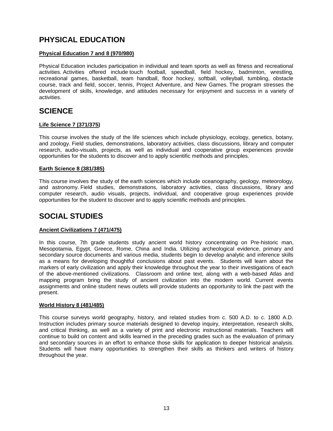### **PHYSICAL EDUCATION**

### **Physical Education 7 and 8 (970/980)**

Physical Education includes participation in individual and team sports as well as fitness and recreational activities. Activities offered include touch football, speedball, field hockey, badminton, wrestling, recreational games, basketball, team handball, floor hockey, softball, volleyball, tumbling, obstacle course, track and field, soccer, tennis, Project Adventure, and New Games. The program stresses the development of skills, knowledge, and attitudes necessary for enjoyment and success in a variety of activities.

### **SCIENCE**

### **Life Science 7 (371/375)**

This course involves the study of the life sciences which include physiology, ecology, genetics, botany, and zoology. Field studies, demonstrations, laboratory activities, class discussions, library and computer research, audio-visuals, projects, as well as individual and cooperative group experiences provide opportunities for the students to discover and to apply scientific methods and principles.

### **Earth Science 8 (381/385)**

This course involves the study of the earth sciences which include oceanography, geology, meteorology, and astronomy. Field studies, demonstrations, laboratory activities, class discussions, library and computer research, audio visuals, projects, individual, and cooperative group experiences provide opportunities for the student to discover and to apply scientific methods and principles.

### **SOCIAL STUDIES**

### **Ancient Civilizations 7 (471/475)**

In this course, 7th grade students study ancient world history concentrating on Pre-historic man, Mesopotamia, Egypt, Greece, Rome, China and India. Utilizing archeological evidence, primary and secondary source documents and various media, students begin to develop analytic and inference skills as a means for developing thoughtful conclusions about past events. Students will learn about the markers of early civilization and apply their knowledge throughout the year to their investigations of each of the above-mentioned civilizations. Classroom and online text, along with a web-based Atlas and mapping program bring the study of ancient civilization into the modern world. Current events assignments and online student news outlets will provide students an opportunity to link the past with the present.

### **World History 8 (481/485)**

This course surveys world geography, history, and related studies from c. 500 A.D. to c. 1800 A.D. Instruction includes primary source materials designed to develop inquiry, interpretation, research skills, and critical thinking, as well as a variety of print and electronic instructional materials. Teachers will continue to build on content and skills learned in the preceding grades such as the evaluation of primary and secondary sources in an effort to enhance those skills for application to deeper historical analysis. Students will have many opportunities to strengthen their skills as thinkers and writers of history throughout the year.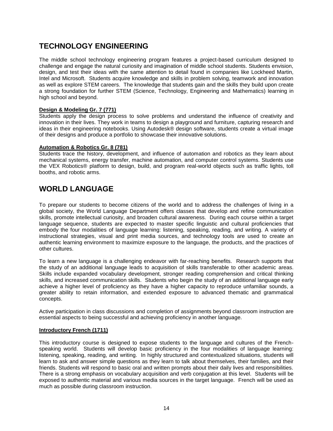### **TECHNOLOGY ENGINEERING**

The middle school technology engineering program features a project-based curriculum designed to challenge and engage the natural curiosity and imagination of middle school students. Students envision, design, and test their ideas with the same attention to detail found in companies like Lockheed Martin, Intel and Microsoft. Students acquire knowledge and skills in problem solving, teamwork and innovation as well as explore STEM careers. The knowledge that students gain and the skills they build upon create a strong foundation for further STEM (Science, Technology, Engineering and Mathematics) learning in high school and beyond.

### **Design & Modeling Gr. 7 (771)**

Students apply the design process to solve problems and understand the influence of creativity and innovation in their lives. They work in teams to design a playground and furniture, capturing research and ideas in their engineering notebooks. Using Autodesk® design software, students create a virtual image of their designs and produce a portfolio to showcase their innovative solutions.

### **Automation & Robotics Gr. 8 (781)**

Students trace the history, development, and influence of automation and robotics as they learn about mechanical systems, energy transfer, machine automation, and computer control systems. Students use the VEX Robotics® platform to design, build, and program real-world objects such as traffic lights, toll booths, and robotic arms.

### **WORLD LANGUAGE**

To prepare our students to become citizens of the world and to address the challenges of living in a global society, the World Language Department offers classes that develop and refine communication skills, promote intellectual curiosity, and broaden cultural awareness. During each course within a target language sequence, students are expected to master specific linguistic and cultural proficiencies that embody the four modalities of language learning: listening, speaking, reading, and writing. A variety of instructional strategies, visual and print media sources, and technology tools are used to create an authentic learning environment to maximize exposure to the language, the products, and the practices of other cultures.

To learn a new language is a challenging endeavor with far-reaching benefits. Research supports that the study of an additional language leads to acquisition of skills transferable to other academic areas. Skills include expanded vocabulary development, stronger reading comprehension and critical thinking skills, and increased communication skills. Students who begin the study of an additional language early achieve a higher level of proficiency as they have a higher capacity to reproduce unfamiliar sounds, a greater ability to retain information, and extended exposure to advanced thematic and grammatical concepts.

Active participation in class discussions and completion of assignments beyond classroom instruction are essential aspects to being successful and achieving proficiency in another language.

### **Introductory French (1711)**

This introductory course is designed to expose students to the language and cultures of the Frenchspeaking world. Students will develop basic proficiency in the four modalities of language learning: listening, speaking, reading, and writing. In highly structured and contextualized situations, students will learn to ask and answer simple questions as they learn to talk about themselves, their families, and their friends. Students will respond to basic oral and written prompts about their daily lives and responsibilities. There is a strong emphasis on vocabulary acquisition and verb conjugation at this level. Students will be exposed to authentic material and various media sources in the target language. French will be used as much as possible during classroom instruction.